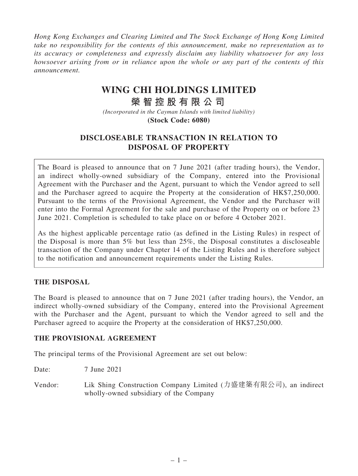Hong Kong Exchanges and Clearing Limited and The Stock Exchange of Hong Kong Limited take no responsibility for the contents of this announcement, make no representation as to its accuracy or completeness and expressly disclaim any liability whatsoever for any loss howsoever arising from or in reliance upon the whole or any part of the contents of this announcement.

# **WING CHI HOLDINGS LIMITED**

# **榮 智 控 股 有 限 公 司**

*(Incorporated in the Cayman Islands with limited liability)* **(Stock Code: 6080)**

## DISCLOSEABLE TRANSACTION IN RELATION TO DISPOSAL OF PROPERTY

The Board is pleased to announce that on 7 June 2021 (after trading hours), the Vendor, an indirect wholly-owned subsidiary of the Company, entered into the Provisional Agreement with the Purchaser and the Agent, pursuant to which the Vendor agreed to sell and the Purchaser agreed to acquire the Property at the consideration of HK\$7,250,000. Pursuant to the terms of the Provisional Agreement, the Vendor and the Purchaser will enter into the Formal Agreement for the sale and purchase of the Property on or before 23 June 2021. Completion is scheduled to take place on or before 4 October 2021.

As the highest applicable percentage ratio (as defined in the Listing Rules) in respect of the Disposal is more than 5% but less than 25%, the Disposal constitutes a discloseable transaction of the Company under Chapter 14 of the Listing Rules and is therefore subject to the notification and announcement requirements under the Listing Rules.

#### THE DISPOSAL

The Board is pleased to announce that on 7 June 2021 (after trading hours), the Vendor, an indirect wholly-owned subsidiary of the Company, entered into the Provisional Agreement with the Purchaser and the Agent, pursuant to which the Vendor agreed to sell and the Purchaser agreed to acquire the Property at the consideration of HK\$7,250,000.

#### THE PROVISIONAL AGREEMENT

The principal terms of the Provisional Agreement are set out below:

Date: 7 June 2021

Vendor: Lik Shing Construction Company Limited (力盛建築有限公司), an indirect wholly-owned subsidiary of the Company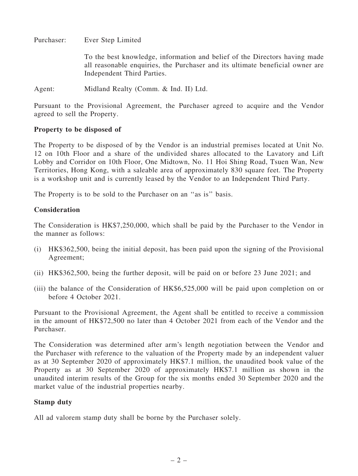Purchaser: Ever Step Limited

To the best knowledge, information and belief of the Directors having made all reasonable enquiries, the Purchaser and its ultimate beneficial owner are Independent Third Parties.

Agent: Midland Realty (Comm. & Ind. II) Ltd.

Pursuant to the Provisional Agreement, the Purchaser agreed to acquire and the Vendor agreed to sell the Property.

#### Property to be disposed of

The Property to be disposed of by the Vendor is an industrial premises located at Unit No. 12 on 10th Floor and a share of the undivided shares allocated to the Lavatory and Lift Lobby and Corridor on 10th Floor, One Midtown, No. 11 Hoi Shing Road, Tsuen Wan, New Territories, Hong Kong, with a saleable area of approximately 830 square feet. The Property is a workshop unit and is currently leased by the Vendor to an Independent Third Party.

The Property is to be sold to the Purchaser on an ''as is'' basis.

#### Consideration

The Consideration is HK\$7,250,000, which shall be paid by the Purchaser to the Vendor in the manner as follows:

- (i) HK\$362,500, being the initial deposit, has been paid upon the signing of the Provisional Agreement;
- (ii) HK\$362,500, being the further deposit, will be paid on or before 23 June 2021; and
- (iii) the balance of the Consideration of HK\$6,525,000 will be paid upon completion on or before 4 October 2021.

Pursuant to the Provisional Agreement, the Agent shall be entitled to receive a commission in the amount of HK\$72,500 no later than 4 October 2021 from each of the Vendor and the Purchaser.

The Consideration was determined after arm's length negotiation between the Vendor and the Purchaser with reference to the valuation of the Property made by an independent valuer as at 30 September 2020 of approximately HK\$7.1 million, the unaudited book value of the Property as at 30 September 2020 of approximately HK\$7.1 million as shown in the unaudited interim results of the Group for the six months ended 30 September 2020 and the market value of the industrial properties nearby.

#### Stamp duty

All ad valorem stamp duty shall be borne by the Purchaser solely.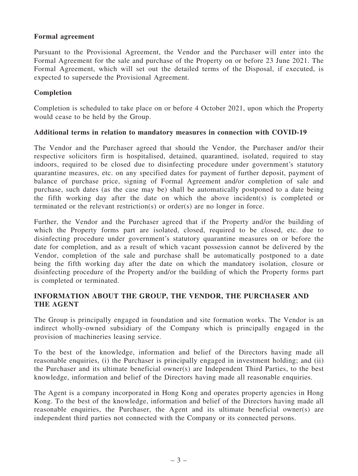#### Formal agreement

Pursuant to the Provisional Agreement, the Vendor and the Purchaser will enter into the Formal Agreement for the sale and purchase of the Property on or before 23 June 2021. The Formal Agreement, which will set out the detailed terms of the Disposal, if executed, is expected to supersede the Provisional Agreement.

#### Completion

Completion is scheduled to take place on or before 4 October 2021, upon which the Property would cease to be held by the Group.

#### Additional terms in relation to mandatory measures in connection with COVID-19

The Vendor and the Purchaser agreed that should the Vendor, the Purchaser and/or their respective solicitors firm is hospitalised, detained, quarantined, isolated, required to stay indoors, required to be closed due to disinfecting procedure under government's statutory quarantine measures, etc. on any specified dates for payment of further deposit, payment of balance of purchase price, signing of Formal Agreement and/or completion of sale and purchase, such dates (as the case may be) shall be automatically postponed to a date being the fifth working day after the date on which the above incident(s) is completed or terminated or the relevant restriction(s) or order(s) are no longer in force.

Further, the Vendor and the Purchaser agreed that if the Property and/or the building of which the Property forms part are isolated, closed, required to be closed, etc. due to disinfecting procedure under government's statutory quarantine measures on or before the date for completion, and as a result of which vacant possession cannot be delivered by the Vendor, completion of the sale and purchase shall be automatically postponed to a date being the fifth working day after the date on which the mandatory isolation, closure or disinfecting procedure of the Property and/or the building of which the Property forms part is completed or terminated.

#### INFORMATION ABOUT THE GROUP, THE VENDOR, THE PURCHASER AND THE AGENT

The Group is principally engaged in foundation and site formation works. The Vendor is an indirect wholly-owned subsidiary of the Company which is principally engaged in the provision of machineries leasing service.

To the best of the knowledge, information and belief of the Directors having made all reasonable enquiries, (i) the Purchaser is principally engaged in investment holding; and (ii) the Purchaser and its ultimate beneficial owner(s) are Independent Third Parties, to the best knowledge, information and belief of the Directors having made all reasonable enquiries.

The Agent is a company incorporated in Hong Kong and operates property agencies in Hong Kong. To the best of the knowledge, information and belief of the Directors having made all reasonable enquiries, the Purchaser, the Agent and its ultimate beneficial owner(s) are independent third parties not connected with the Company or its connected persons.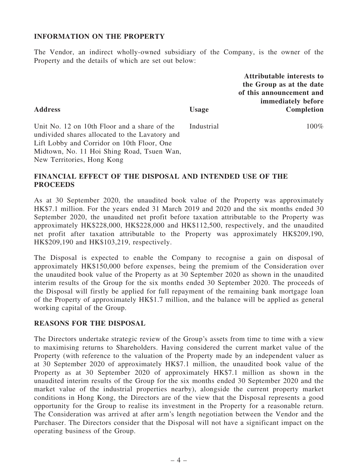#### INFORMATION ON THE PROPERTY

The Vendor, an indirect wholly-owned subsidiary of the Company, is the owner of the Property and the details of which are set out below:

> Attributable interests to the Group as at the date of this announcement and immediately before Completion

Unit No. 12 on 10th Floor and a share of the undivided shares allocated to the Lavatory and Lift Lobby and Corridor on 10th Floor, One Midtown, No. 11 Hoi Shing Road, Tsuen Wan, New Territories, Hong Kong Industrial 100%

#### FINANCIAL EFFECT OF THE DISPOSAL AND INTENDED USE OF THE **PROCEEDS**

As at 30 September 2020, the unaudited book value of the Property was approximately HK\$7.1 million. For the years ended 31 March 2019 and 2020 and the six months ended 30 September 2020, the unaudited net profit before taxation attributable to the Property was approximately HK\$228,000, HK\$228,000 and HK\$112,500, respectively, and the unaudited net profit after taxation attributable to the Property was approximately HK\$209,190, HK\$209,190 and HK\$103,219, respectively.

The Disposal is expected to enable the Company to recognise a gain on disposal of approximately HK\$150,000 before expenses, being the premium of the Consideration over the unaudited book value of the Property as at 30 September 2020 as shown in the unaudited interim results of the Group for the six months ended 30 September 2020. The proceeds of the Disposal will firstly be applied for full repayment of the remaining bank mortgage loan of the Property of approximately HK\$1.7 million, and the balance will be applied as general working capital of the Group.

#### REASONS FOR THE DISPOSAL

The Directors undertake strategic review of the Group's assets from time to time with a view to maximising returns to Shareholders. Having considered the current market value of the Property (with reference to the valuation of the Property made by an independent valuer as at 30 September 2020 of approximately HK\$7.1 million, the unaudited book value of the Property as at 30 September 2020 of approximately HK\$7.1 million as shown in the unaudited interim results of the Group for the six months ended 30 September 2020 and the market value of the industrial properties nearby), alongside the current property market conditions in Hong Kong, the Directors are of the view that the Disposal represents a good opportunity for the Group to realise its investment in the Property for a reasonable return. The Consideration was arrived at after arm's length negotiation between the Vendor and the Purchaser. The Directors consider that the Disposal will not have a significant impact on the operating business of the Group.

Address Usage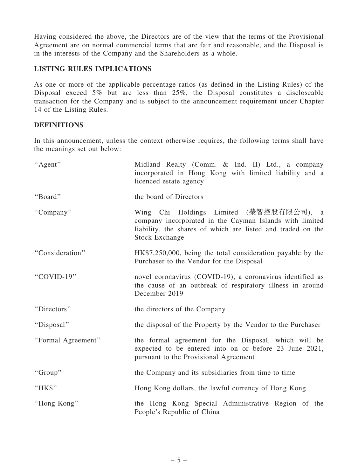Having considered the above, the Directors are of the view that the terms of the Provisional Agreement are on normal commercial terms that are fair and reasonable, and the Disposal is in the interests of the Company and the Shareholders as a whole.

### LISTING RULES IMPLICATIONS

As one or more of the applicable percentage ratios (as defined in the Listing Rules) of the Disposal exceed 5% but are less than 25%, the Disposal constitutes a discloseable transaction for the Company and is subject to the announcement requirement under Chapter 14 of the Listing Rules.

### **DEFINITIONS**

In this announcement, unless the context otherwise requires, the following terms shall have the meanings set out below:

| "Agent"            | Midland Realty (Comm. & Ind. II) Ltd., a company<br>incorporated in Hong Kong with limited liability and a<br>licenced estate agency                                                       |
|--------------------|--------------------------------------------------------------------------------------------------------------------------------------------------------------------------------------------|
| "Board"            | the board of Directors                                                                                                                                                                     |
| "Company"          | Wing Chi Holdings Limited (榮智控股有限公司), a<br>company incorporated in the Cayman Islands with limited<br>liability, the shares of which are listed and traded on the<br><b>Stock Exchange</b> |
| "Consideration"    | HK\$7,250,000, being the total consideration payable by the<br>Purchaser to the Vendor for the Disposal                                                                                    |
| "COVID-19"         | novel coronavirus (COVID-19), a coronavirus identified as<br>the cause of an outbreak of respiratory illness in around<br>December 2019                                                    |
| "Directors"        | the directors of the Company                                                                                                                                                               |
| "Disposal"         | the disposal of the Property by the Vendor to the Purchaser                                                                                                                                |
| "Formal Agreement" | the formal agreement for the Disposal, which will be<br>expected to be entered into on or before 23 June 2021,<br>pursuant to the Provisional Agreement                                    |
| "Group"            | the Company and its subsidiaries from time to time                                                                                                                                         |
| "HK\$"             | Hong Kong dollars, the lawful currency of Hong Kong                                                                                                                                        |
| "Hong Kong"        | the Hong Kong Special Administrative Region of the<br>People's Republic of China                                                                                                           |